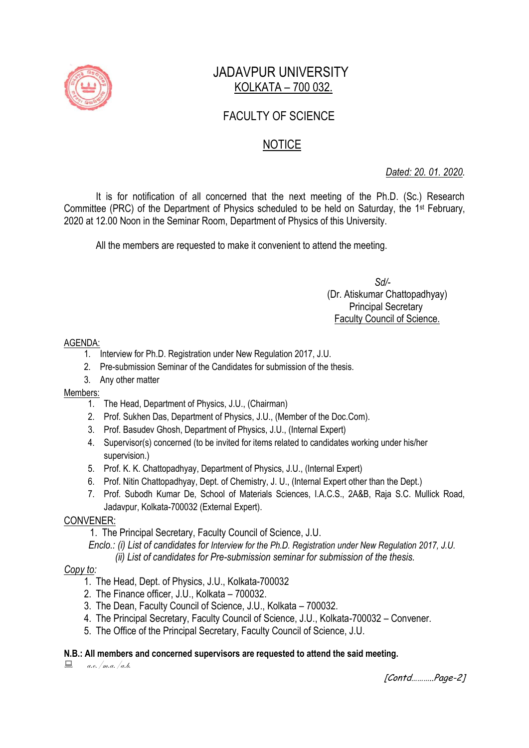

# JADAVPUR UNIVERSITY KOLKATA – 700 032.

## FACULTY OF SCIENCE

## **NOTICE**

*Dated: 20. 01. 2020.*

It is for notification of all concerned that the next meeting of the Ph.D. (Sc.) Research Committee (PRC) of the Department of Physics scheduled to be held on Saturday, the 1<sup>st</sup> February, 2020 at 12.00 Noon in the Seminar Room, Department of Physics of this University.

All the members are requested to make it convenient to attend the meeting.

 *Sd/-*  (Dr. Atiskumar Chattopadhyay) Principal Secretary Faculty Council of Science.

#### AGENDA:

- 1. Interview for Ph.D. Registration under New Regulation 2017, J.U.
- 2. Pre-submission Seminar of the Candidates for submission of the thesis.
- 3. Any other matter

## Members:

- 1. The Head, Department of Physics, J.U., (Chairman)
- 2. Prof. Sukhen Das, Department of Physics, J.U., (Member of the Doc.Com).
- 3. Prof. Basudev Ghosh, Department of Physics, J.U., (Internal Expert)
- 4. Supervisor(s) concerned (to be invited for items related to candidates working under his/her supervision.)
- 5. Prof. K. K. Chattopadhyay, Department of Physics, J.U., (Internal Expert)
- 6. Prof. Nitin Chattopadhyay, Dept. of Chemistry, J. U., (Internal Expert other than the Dept.)
- 7. Prof. Subodh Kumar De, School of Materials Sciences, I.A.C.S., 2A&B, Raja S.C. Mullick Road, Jadavpur, Kolkata-700032 (External Expert).

## CONVENER:

1. The Principal Secretary, Faculty Council of Science, J.U.

 *Enclo.: (i) List of candidates for Interview for the Ph.D. Registration under New Regulation 2017, J.U. (ii) List of candidates for Pre-submission seminar for submission of the thesis.*

## *Copy to:*

- 1. The Head, Dept. of Physics, J.U., Kolkata-700032
- 2. The Finance officer, J.U., Kolkata 700032.
- 3. The Dean, Faculty Council of Science, J.U., Kolkata 700032.
- 4. The Principal Secretary, Faculty Council of Science, J.U., Kolkata-700032 Convener.
- 5. The Office of the Principal Secretary, Faculty Council of Science, J.U.

## **N.B.: All members and concerned supervisors are requested to attend the said meeting.**

 $a.e.$ /m.a./a.b.

[Contd………..Page-2]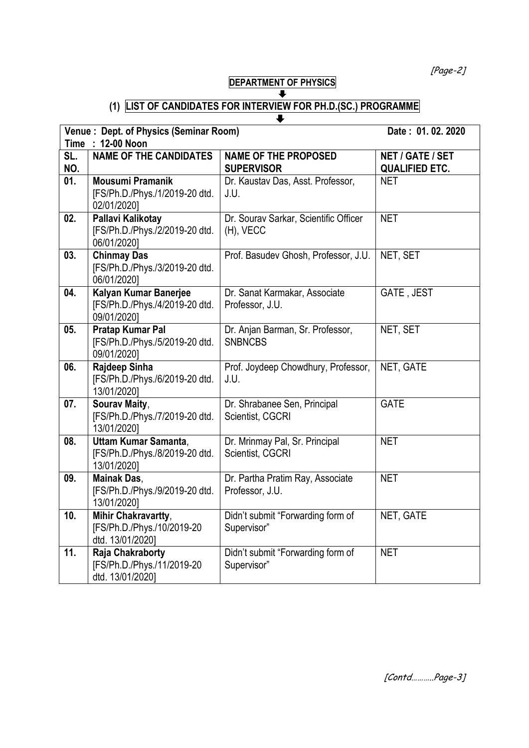[Page-2]

#### **DEPARTMENT OF PHYSICS**  $\overline{\bullet}$

# **(1) LIST OF CANDIDATES FOR INTERVIEW FOR PH.D.(SC.) PROGRAMME**

|                   | Venue: Dept. of Physics (Seminar Room)                                       | Date: 01.02.2020                                    |                                                  |  |  |  |  |
|-------------------|------------------------------------------------------------------------------|-----------------------------------------------------|--------------------------------------------------|--|--|--|--|
| Time : 12-00 Noon |                                                                              |                                                     |                                                  |  |  |  |  |
| SL.<br>NO.        | <b>NAME OF THE CANDIDATES</b>                                                | <b>NAME OF THE PROPOSED</b><br><b>SUPERVISOR</b>    | <b>NET / GATE / SET</b><br><b>QUALIFIED ETC.</b> |  |  |  |  |
| 01.               | Mousumi Pramanik<br>[FS/Ph.D./Phys./1/2019-20 dtd.<br>02/01/2020]            | Dr. Kaustav Das, Asst. Professor,<br>J.U.           | <b>NET</b>                                       |  |  |  |  |
| 02.               | Pallavi Kalikotay<br>[FS/Ph.D./Phys./2/2019-20 dtd.<br>06/01/2020]           | Dr. Sourav Sarkar, Scientific Officer<br>(H), VECC  | <b>NET</b>                                       |  |  |  |  |
| 03.               | <b>Chinmay Das</b><br>[FS/Ph.D./Phys./3/2019-20 dtd.<br>06/01/2020]          | Prof. Basudev Ghosh, Professor, J.U.                | NET, SET                                         |  |  |  |  |
| 04.               | Kalyan Kumar Banerjee<br>[FS/Ph.D./Phys./4/2019-20 dtd.<br>09/01/2020]       | Dr. Sanat Karmakar, Associate<br>Professor, J.U.    | GATE, JEST                                       |  |  |  |  |
| 05.               | Pratap Kumar Pal<br>[FS/Ph.D./Phys./5/2019-20 dtd.<br>09/01/2020]            | Dr. Anjan Barman, Sr. Professor,<br><b>SNBNCBS</b>  | NET, SET                                         |  |  |  |  |
| 06.               | Rajdeep Sinha<br>[FS/Ph.D./Phys./6/2019-20 dtd.<br>13/01/2020]               | Prof. Joydeep Chowdhury, Professor,<br>J.U.         | NET, GATE                                        |  |  |  |  |
| 07.               | Sourav Maity,<br>[FS/Ph.D./Phys./7/2019-20 dtd.<br>13/01/2020]               | Dr. Shrabanee Sen, Principal<br>Scientist, CGCRI    | <b>GATE</b>                                      |  |  |  |  |
| 08.               | <b>Uttam Kumar Samanta,</b><br>[FS/Ph.D./Phys./8/2019-20 dtd.<br>13/01/2020] | Dr. Mrinmay Pal, Sr. Principal<br>Scientist, CGCRI  | <b>NET</b>                                       |  |  |  |  |
| 09.               | <b>Mainak Das,</b><br>[FS/Ph.D./Phys./9/2019-20 dtd.<br>13/01/2020]          | Dr. Partha Pratim Ray, Associate<br>Professor, J.U. | <b>NET</b>                                       |  |  |  |  |
| 10.               | Mihir Chakravartty,<br>[FS/Ph.D./Phys./10/2019-20<br>dtd. 13/01/2020]        | Didn't submit "Forwarding form of<br>Supervisor"    | NET, GATE                                        |  |  |  |  |
| 11.               | Raja Chakraborty<br>[FS/Ph.D./Phys./11/2019-20<br>dtd. 13/01/2020]           | Didn't submit "Forwarding form of<br>Supervisor"    | <b>NET</b>                                       |  |  |  |  |